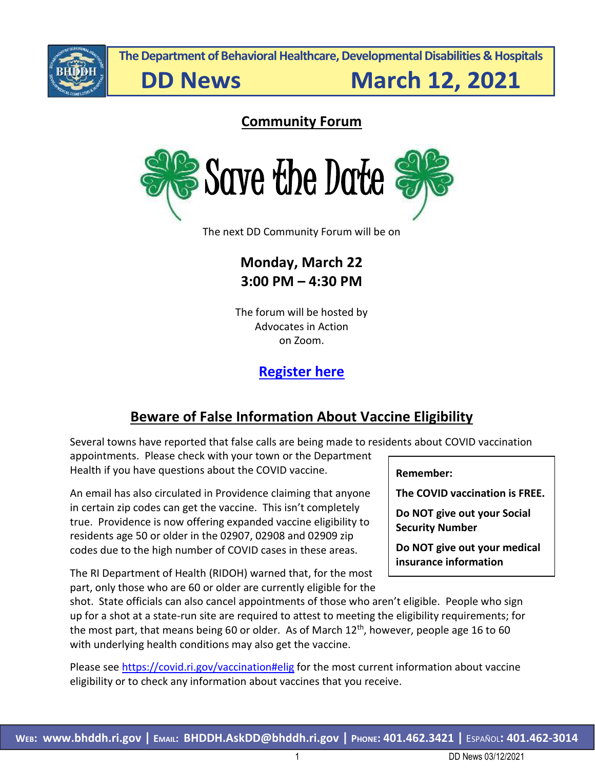



**DD News** 

**March 12, 2021** 

### **Community Forum**



The next DD Community Forum will be on

# **Monday, March 22 3:00 PM – 4:30 PM**

The forum will be hosted by Advocates in Action on Zoom.

# **[Register here](https://urldefense.com/v3/__https:/tinyurl.com/MarDDCommunityForum__;!!KKphUJtCzQ!frQLKtR6EQSJblDx1OyFegEG4lKDweuFgPSopoNyYbF9c6LU7jBMnAJMoUmxFRucr3vwWjE$)**

# **Beware of False Information About Vaccine Eligibility**

Several towns have reported that false calls are being made to residents about COVID vaccination appointments. Please check with your town or the Department

Health if you have questions about the COVID vaccine.

An email has also circulated in Providence claiming that anyone in certain zip codes can get the vaccine. This isn't completely true. Providence is now offering expanded vaccine eligibility to residents age 50 or older in the 02907, 02908 and 02909 zip codes due to the high number of COVID cases in these areas.

The RI Department of Health (RIDOH) warned that, for the most part, only those who are 60 or older are currently eligible for the

shot. State officials can also cancel appointments of those who aren't eligible. People who sign up for a shot at a state-run site are required to attest to meeting the eligibility requirements; for the most part, that means being 60 or older. As of March  $12<sup>th</sup>$ , however, people age 16 to 60 with underlying health conditions may also get the vaccine.

Please see<https://covid.ri.gov/vaccination#elig> for the most current information about vaccine eligibility or to check any information about vaccines that you receive.

#### **Remember:**

**The COVID vaccination is FREE.**

**Do NOT give out your Social Security Number**

**Do NOT give out your medical insurance information**

1 DD News 03/12/2021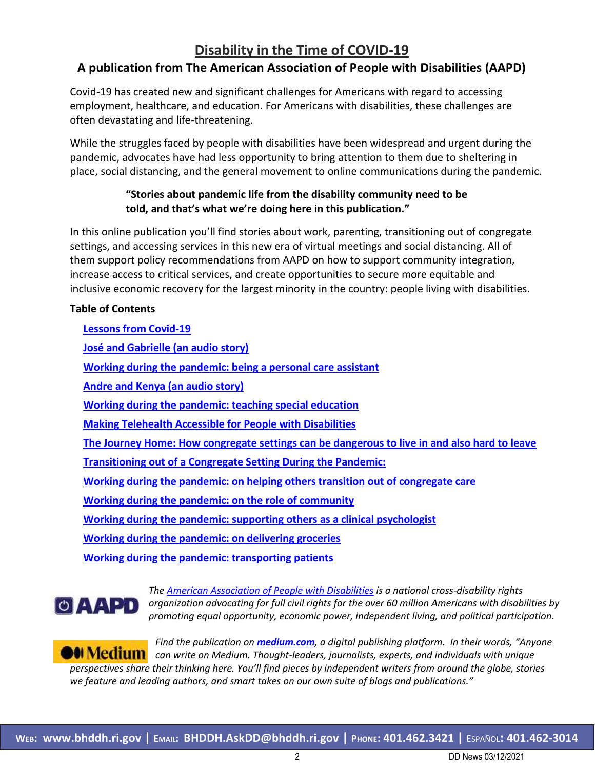## **Disability in the Time of COVID-19**

#### **A publication from The American Association of People with Disabilities (AAPD)**

Covid-19 has created new and significant challenges for Americans with regard to accessing employment, healthcare, and education. For Americans with disabilities, these challenges are often devastating and life-threatening.

While the struggles faced by people with disabilities have been widespread and urgent during the pandemic, advocates have had less opportunity to bring attention to them due to sheltering in place, social distancing, and the general movement to online communications during the pandemic.

#### **"Stories about pandemic life from the disability community need to be told, and that's what we're doing here in this publication."**

In this online publication you'll find stories about work, parenting, transitioning out of congregate settings, and accessing services in this new era of virtual meetings and social distancing. All of them support policy recommendations from AAPD on how to support community integration, increase access to critical services, and create opportunities to secure more equitable and inclusive economic recovery for the largest minority in the country: people living with disabilities.

#### **Table of Contents**

| <b>Lessons from Covid-19</b>                                                                 |
|----------------------------------------------------------------------------------------------|
| José and Gabrielle (an audio story)                                                          |
| Working during the pandemic: being a personal care assistant                                 |
| <b>Andre and Kenya (an audio story)</b>                                                      |
| Working during the pandemic: teaching special education                                      |
| <b>Making Telehealth Accessible for People with Disabilities</b>                             |
| The Journey Home: How congregate settings can be dangerous to live in and also hard to leave |
| <b>Transitioning out of a Congregate Setting During the Pandemic:</b>                        |
| Working during the pandemic: on helping others transition out of congregate care             |
| Working during the pandemic: on the role of community                                        |
| Working during the pandemic: supporting others as a clinical psychologist                    |
| Working during the pandemic: on delivering groceries                                         |
| <b>Working during the pandemic: transporting patients</b>                                    |
|                                                                                              |



*Th[e American Association of People with Disabilities](https://www.aapd.com/) is a national cross-disability rights organization advocating for full civil rights for the over 60 million Americans with disabilities by promoting equal opportunity, economic power, independent living, and political participation.*

*Find the publication on [medium.com](https://medium.com/disability-in-the-time-of-covid-19/publication-overview-99825b3dcfe7), a digital publishing platform. In their words, "Anyone*  **Medium** can write on Medium. Thought-leaders, journalists, experts, and individuals with unique *perspectives share their thinking here. You'll find pieces by independent writers from around the globe, stories we feature and leading authors, and smart takes on our own suite of blogs and publications."*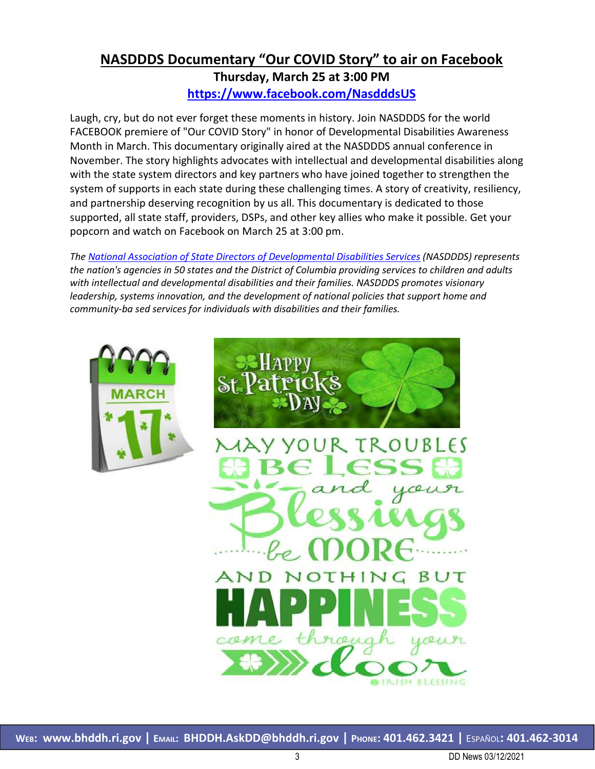# **NASDDDS Documentary "Our COVID Story" to air on Facebook Thursday, March 25 at 3:00 PM**

**<https://www.facebook.com/NasdddsUS>**

Laugh, cry, but do not ever forget these moments in history. Join NASDDDS for the world FACEBOOK premiere of "Our COVID Story" in honor of Developmental Disabilities Awareness Month in March. This documentary originally aired at the NASDDDS annual conference in November. The story highlights advocates with intellectual and developmental disabilities along with the state system directors and key partners who have joined together to strengthen the system of supports in each state during these challenging times. A story of creativity, resiliency, and partnership deserving recognition by us all. This documentary is dedicated to those supported, all state staff, providers, DSPs, and other key allies who make it possible. Get your popcorn and watch on Facebook on March 25 at 3:00 pm.

*The [National Association of State Directors of Developmental Disabilities Services](https://www.nasddds.org/) (NASDDDS) represents the nation's agencies in 50 states and the District of Columbia providing services to children and adults with intellectual and developmental disabilities and their families. NASDDDS promotes visionary leadership, systems innovation, and the development of national policies that support home and community-ba sed services for individuals with disabilities and their families.*

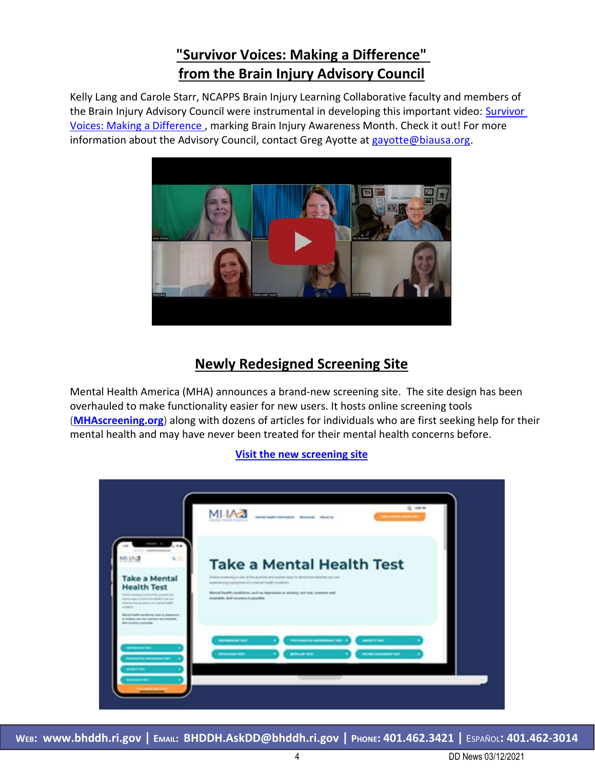# **"Survivor Voices: Making a Difference" from the Brain Injury Advisory Council**

Kelly Lang and Carole Starr, NCAPPS Brain Injury Learning Collaborative faculty and members of the Brain Injury Advisory Council were instrumental in developing this important video: Survivor [Voices: Making a Difference ,](https://urldefense.com/v3/__https:/hsri.us2.list-manage.com/track/click?u=abe97fa7a35fb4137a263a13a&id=1f6ba966bf&e=af048923e9__;!!KKphUJtCzQ!YgGgNkx6HIlNH4-_AMow6eKszLVjdoTElGpzL_jcn1bdC0LCnlbksA9uND2r56YI77UNCn8$) marking Brain Injury Awareness Month. Check it out! For more information about the Advisory Council, contact Greg Ayotte at [gayotte@biausa.org.](mailto:gayotte@biausa.org)



# **Newly Redesigned Screening Site**

Mental Health America (MHA) announces a brand-new screening site. The site design has been overhauled to make functionality easier for new users. It hosts online screening tools (**[MHAscreening.org](https://urldefense.com/v3/__http:/MHAscreening.org__;!!KKphUJtCzQ!b-mGWTlvdh5I6JuuKWGudi43NrdMl_evpGyx5E3mgxbD4Q2JnyRUfSLTAlp9bx903ZvMh0E$)**) along with dozens of articles for individuals who are first seeking help for their mental health and may have never been treated for their mental health concerns before.

#### **[Visit the new screening site](https://urldefense.com/v3/__https:/default.salsalabs.org/Ta000585c-8e8a-445c-8d1b-e4ff373db09c/5f4718d4-2f99-44c0-adb5-6f43a14896b9__;!!KKphUJtCzQ!b-mGWTlvdh5I6JuuKWGudi43NrdMl_evpGyx5E3mgxbD4Q2JnyRUfSLTAlp9bx90w0hf0lU$)**

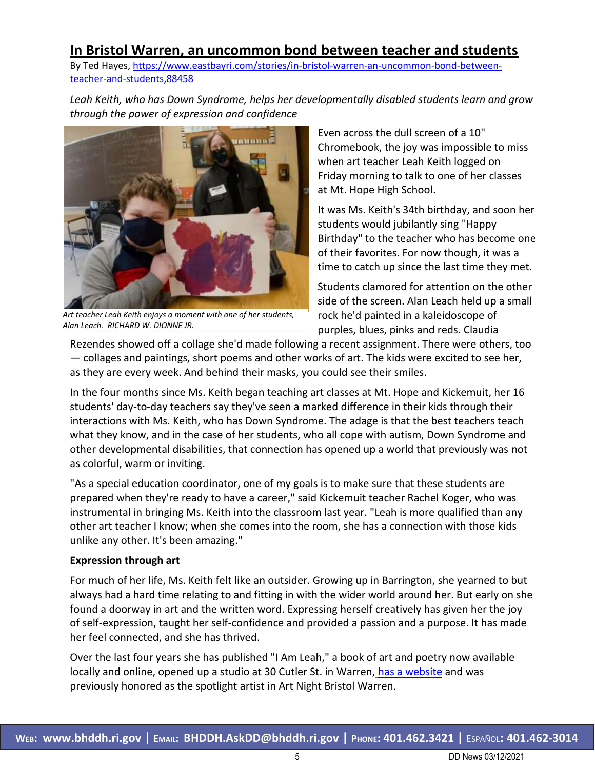### **In Bristol Warren, an uncommon bond between teacher and students**

By Ted Hayes[, https://www.eastbayri.com/stories/in-bristol-warren-an-uncommon-bond-between](https://www.eastbayri.com/stories/in-bristol-warren-an-uncommon-bond-between-teacher-and-students,88458)[teacher-and-students,88458](https://www.eastbayri.com/stories/in-bristol-warren-an-uncommon-bond-between-teacher-and-students,88458)

*Leah Keith, who has Down Syndrome, helps her developmentally disabled students learn and grow through the power of expression and confidence*



*[Art teacher Leah Keith enjoys a moment with one of her students,](https://www.eastbayri.com/uploads/original/20210301-110324-LEAH%201.jpg)  Alan Leach. RICHARD W. DIONNE JR.*

Even across the dull screen of a 10" Chromebook, the joy was impossible to miss when art teacher Leah Keith logged on Friday morning to talk to one of her classes at Mt. Hope High School.

It was Ms. Keith's 34th birthday, and soon her students would jubilantly sing "Happy Birthday" to the teacher who has become one of their favorites. For now though, it was a time to catch up since the last time they met.

Students clamored for attention on the other side of the screen. Alan Leach held up a small rock he'd painted in a kaleidoscope of purples, blues, pinks and reds. Claudia

Rezendes showed off a collage she'd made following a recent assignment. There were others, too — collages and paintings, short poems and other works of art. The kids were excited to see her, as they are every week. And behind their masks, you could see their smiles.

In the four months since Ms. Keith began teaching art classes at Mt. Hope and Kickemuit, her 16 students' day-to-day teachers say they've seen a marked difference in their kids through their interactions with Ms. Keith, who has Down Syndrome. The adage is that the best teachers teach what they know, and in the case of her students, who all cope with autism, Down Syndrome and other developmental disabilities, that connection has opened up a world that previously was not as colorful, warm or inviting.

"As a special education coordinator, one of my goals is to make sure that these students are prepared when they're ready to have a career," said Kickemuit teacher Rachel Koger, who was instrumental in bringing Ms. Keith into the classroom last year. "Leah is more qualified than any other art teacher I know; when she comes into the room, she has a connection with those kids unlike any other. It's been amazing."

#### **Expression through art**

For much of her life, Ms. Keith felt like an outsider. Growing up in Barrington, she yearned to but always had a hard time relating to and fitting in with the wider world around her. But early on she found a doorway in art and the written word. Expressing herself creatively has given her the joy of self-expression, taught her self-confidence and provided a passion and a purpose. It has made her feel connected, and she has thrived.

Over the last four years she has published "I Am Leah," a book of art and poetry now available locally and online, opened up a studio at 30 Cutler St. in Warren, [has a website](http://www.iamleah.com/) and was previously honored as the spotlight artist in Art Night Bristol Warren.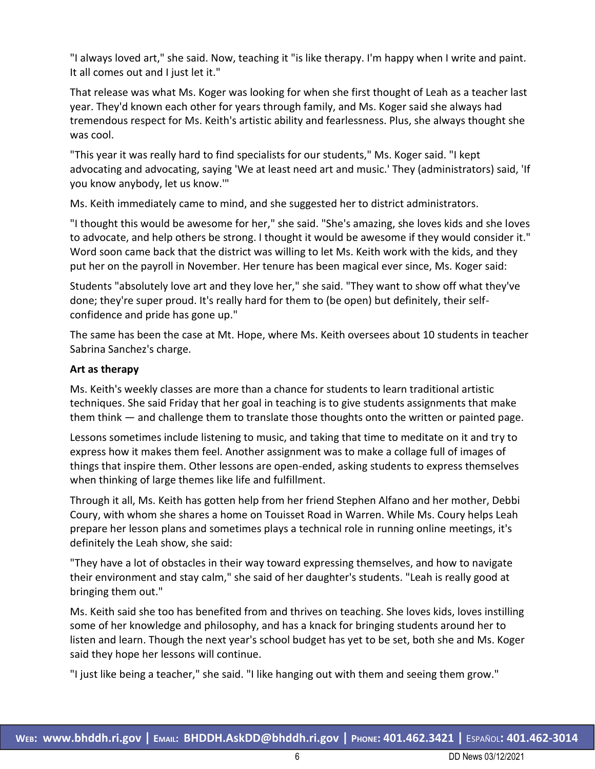"I always loved art," she said. Now, teaching it "is like therapy. I'm happy when I write and paint. It all comes out and I just let it."

That release was what Ms. Koger was looking for when she first thought of Leah as a teacher last year. They'd known each other for years through family, and Ms. Koger said she always had tremendous respect for Ms. Keith's artistic ability and fearlessness. Plus, she always thought she was cool.

"This year it was really hard to find specialists for our students," Ms. Koger said. "I kept advocating and advocating, saying 'We at least need art and music.' They (administrators) said, 'If you know anybody, let us know.'"

Ms. Keith immediately came to mind, and she suggested her to district administrators.

"I thought this would be awesome for her," she said. "She's amazing, she loves kids and she loves to advocate, and help others be strong. I thought it would be awesome if they would consider it." Word soon came back that the district was willing to let Ms. Keith work with the kids, and they put her on the payroll in November. Her tenure has been magical ever since, Ms. Koger said:

Students "absolutely love art and they love her," she said. "They want to show off what they've done; they're super proud. It's really hard for them to (be open) but definitely, their selfconfidence and pride has gone up."

The same has been the case at Mt. Hope, where Ms. Keith oversees about 10 students in teacher Sabrina Sanchez's charge.

#### **Art as therapy**

Ms. Keith's weekly classes are more than a chance for students to learn traditional artistic techniques. She said Friday that her goal in teaching is to give students assignments that make them think — and challenge them to translate those thoughts onto the written or painted page.

Lessons sometimes include listening to music, and taking that time to meditate on it and try to express how it makes them feel. Another assignment was to make a collage full of images of things that inspire them. Other lessons are open-ended, asking students to express themselves when thinking of large themes like life and fulfillment.

Through it all, Ms. Keith has gotten help from her friend Stephen Alfano and her mother, Debbi Coury, with whom she shares a home on Touisset Road in Warren. While Ms. Coury helps Leah prepare her lesson plans and sometimes plays a technical role in running online meetings, it's definitely the Leah show, she said:

"They have a lot of obstacles in their way toward expressing themselves, and how to navigate their environment and stay calm," she said of her daughter's students. "Leah is really good at bringing them out."

Ms. Keith said she too has benefited from and thrives on teaching. She loves kids, loves instilling some of her knowledge and philosophy, and has a knack for bringing students around her to listen and learn. Though the next year's school budget has yet to be set, both she and Ms. Koger said they hope her lessons will continue.

"I just like being a teacher," she said. "I like hanging out with them and seeing them grow."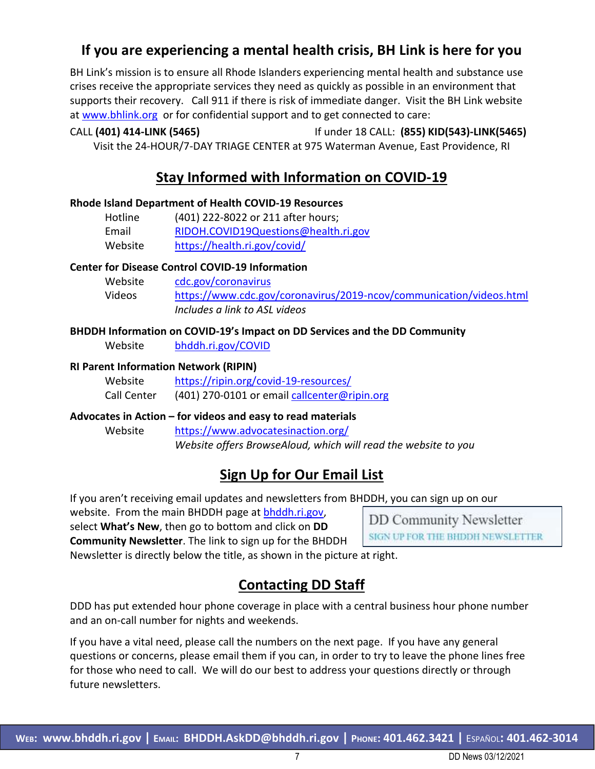# **If you are experiencing a mental health crisis, BH Link is here for you**

BH Link's mission is to ensure all Rhode Islanders experiencing mental health and substance use crises receive the appropriate services they need as quickly as possible in an environment that supports their recovery. Call 911 if there is risk of immediate danger. Visit the BH Link website at [www.bhlink.org](http://www.bhlink.org/) or for confidential support and to get connected to care:

# CALL **(401) 414-LINK (5465)** If under 18 CALL: **(855) KID(543)-LINK(5465)**

Visit the 24-HOUR/7-DAY TRIAGE CENTER at 975 Waterman Avenue, East Providence, RI

## **Stay Informed with Information on COVID-19**

#### **Rhode Island Department of Health COVID-19 Resources**

| Hotline | (401) 222-8022 or 211 after hours;   |
|---------|--------------------------------------|
| Email   | RIDOH.COVID19Questions@health.ri.gov |
| Website | https://health.ri.gov/covid/         |

#### **Center for Disease Control COVID-19 Information**

| Website | cdc.gov/coronavirus                                                 |
|---------|---------------------------------------------------------------------|
| Videos  | https://www.cdc.gov/coronavirus/2019-ncov/communication/videos.html |
|         | Includes a link to ASL videos                                       |

#### **BHDDH Information on COVID-19's Impact on DD Services and the DD Community**

Website [bhddh.ri.gov/COVID](http://www.bhddh.ri.gov/COVID) 

#### **RI Parent Information Network (RIPIN)**

| Website     | https://ripin.org/covid-19-resources/        |
|-------------|----------------------------------------------|
| Call Center | (401) 270-0101 or email callcenter@ripin.org |

#### **Advocates in Action – for videos and easy to read materials**

Website <https://www.advocatesinaction.org/> *Website offers BrowseAloud, which will read the website to you*

# **Sign Up for Our Email List**

If you aren't receiving email updates and newsletters from BHDDH, you can sign up on our

website. From the main BHDDH page at [bhddh.ri.gov,](http://www.bhddh.ri.gov/)

select **What's New**, then go to bottom and click on **DD Community Newsletter**. The link to sign up for the BHDDH

**DD Community Newsletter** SIGN UP FOR THE BHDDH NEWSLETTER

Newsletter is directly below the title, as shown in the picture at right.

### **Contacting DD Staff**

DDD has put extended hour phone coverage in place with a central business hour phone number and an on-call number for nights and weekends.

If you have a vital need, please call the numbers on the next page. If you have any general questions or concerns, please email them if you can, in order to try to leave the phone lines free for those who need to call. We will do our best to address your questions directly or through future newsletters.